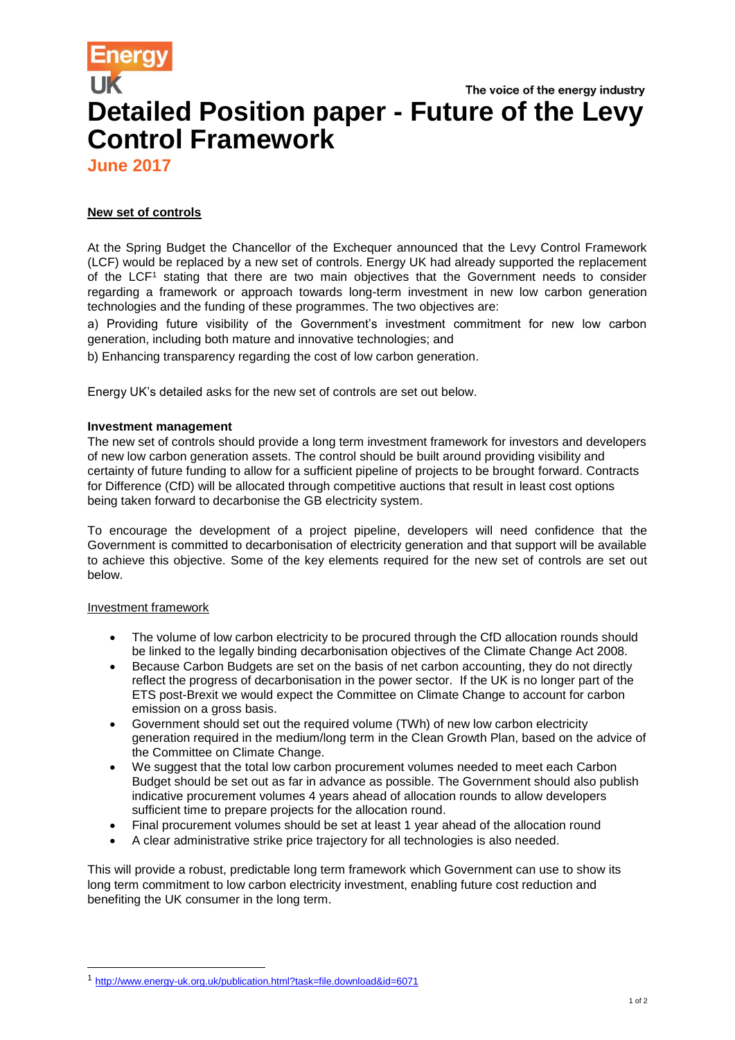# The voice of the energy industry **Detailed Position paper - Future of the Levy Control Framework**

**June 2017**

## **New set of controls**

At the Spring Budget the Chancellor of the Exchequer announced that the Levy Control Framework (LCF) would be replaced by a new set of controls. Energy UK had already supported the replacement of the LCF<sup>1</sup> stating that there are two main objectives that the Government needs to consider regarding a framework or approach towards long-term investment in new low carbon generation technologies and the funding of these programmes. The two objectives are:

a) Providing future visibility of the Government's investment commitment for new low carbon generation, including both mature and innovative technologies; and

b) Enhancing transparency regarding the cost of low carbon generation.

Energy UK's detailed asks for the new set of controls are set out below.

## **Investment management**

The new set of controls should provide a long term investment framework for investors and developers of new low carbon generation assets. The control should be built around providing visibility and certainty of future funding to allow for a sufficient pipeline of projects to be brought forward. Contracts for Difference (CfD) will be allocated through competitive auctions that result in least cost options being taken forward to decarbonise the GB electricity system.

To encourage the development of a project pipeline, developers will need confidence that the Government is committed to decarbonisation of electricity generation and that support will be available to achieve this objective. Some of the key elements required for the new set of controls are set out below.

## Investment framework

l

- The volume of low carbon electricity to be procured through the CfD allocation rounds should be linked to the legally binding decarbonisation objectives of the Climate Change Act 2008.
- Because Carbon Budgets are set on the basis of net carbon accounting, they do not directly reflect the progress of decarbonisation in the power sector. If the UK is no longer part of the ETS post-Brexit we would expect the Committee on Climate Change to account for carbon emission on a gross basis.
- Government should set out the required volume (TWh) of new low carbon electricity generation required in the medium/long term in the Clean Growth Plan, based on the advice of the Committee on Climate Change.
- We suggest that the total low carbon procurement volumes needed to meet each Carbon Budget should be set out as far in advance as possible. The Government should also publish indicative procurement volumes 4 years ahead of allocation rounds to allow developers sufficient time to prepare projects for the allocation round.
- Final procurement volumes should be set at least 1 year ahead of the allocation round
- A clear administrative strike price trajectory for all technologies is also needed.

This will provide a robust, predictable long term framework which Government can use to show its long term commitment to low carbon electricity investment, enabling future cost reduction and benefiting the UK consumer in the long term.

<sup>1</sup> <http://www.energy-uk.org.uk/publication.html?task=file.download&id=6071>